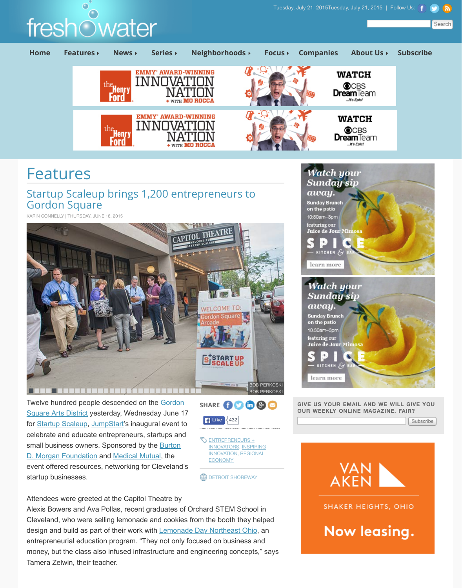

Twelve hundred people descended on the **Gordon** Square Arts District yesterday, Wednesday June 17 for Startup Scaleup, JumpStart's inaugural event to celebrate and educate entrepreneurs, startups and small business owners. Sponsored by the **Burton** D. Morgan Foundation and Medical Mutual, the event offered resources, networking for Cleveland's startup businesses.



**DETROIT SHOREWAY** 

Attendees were greeted at the Capitol Theatre by Alexis Bowers and Ava Pollas, recent graduates of Orchard STEM School in Cleveland, who were selling lemonade and cookies from the booth they helped design and build as part of their work with **Lemonade Day Northeast Ohio**, an entrepreneurial education program. "They not only focused on business and money, but the class also infused infrastructure and engineering concepts," sa Tamera Zelwin, their teacher.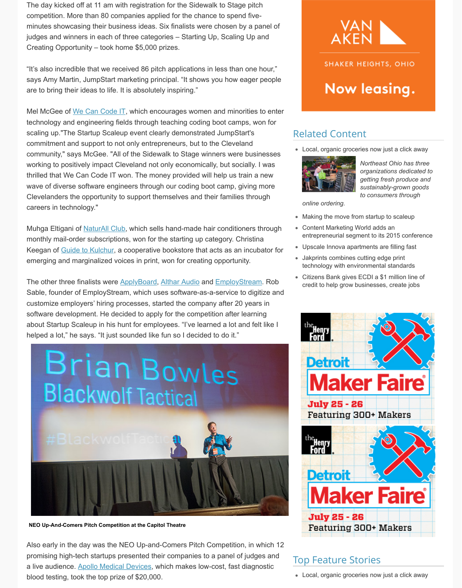monthly mail-order subscriptions, won for the starting up category. Christina Keegan of Guide to Kulchur, a cooperative bookstore that acts as an incubator emerging and marginalized voices in print, won for creating opportunity.

The other three finalists were ApplyBoard, Althar Audio and EmployStream. Rob Sable, founder of EmployStream, which uses software-as-a-service to digitize customize employers' hiring processes, started the company after 20 years in software development. He decided to apply for the competition after learning about Startup Scaleup in his hunt for employees. "I've learned a lot and felt like helped a lot," he says. "It just sounded like fun so I decided to do it."



**NEO Up-And-Comers Pitch Competition at the Capitol Theatre**

Also early in the day was the NEO Up-and-Comers Pitch Competition, in which promising high-tech startups presented their companies to a panel of judges and a live audience. Apollo Medical Devices, which makes low-cost, fast diagnostic blood testing, took the top prize of \$20,000.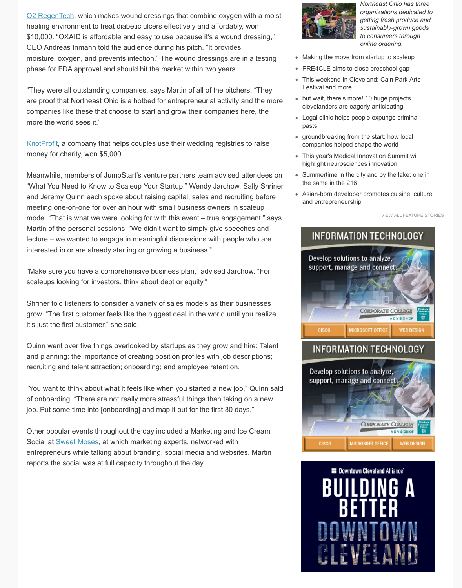lecture – we wanted to engage in meaningful discussions with people who are [interested in or](http://www.o2regentech.com/) are already starting or growing a business."

"Make sure you have a comprehensive business plan," advised Jarchow. "For scaleups looking for investors, think about debt or equity."

Shriner told listeners to consider a variety of sales models as their businesses grow. "The first customer feels like the biggest deal in the world until you realized it's just the first customer," she said.

Quinn went over five things overlooked by startups as they grow and hire: Tale and planning; the importance of creating position profiles with job descriptions; recruiting and talent attraction; onboarding; and employee retention.

"You want to think about what it feels like when you started a new job," Quinn s of onboarding. "There are not really more stressful things than taking on a new job. Put some time into [onboarding] and map it out for the first 30 days."

Other popular events throughout the day included a Marketing and Ice Cream Social at Sweet Moses, at which marketing experts, networked with entrepreneurs while talking about branding, social media and websites. Martin reports the social was at full capacity throughout the day.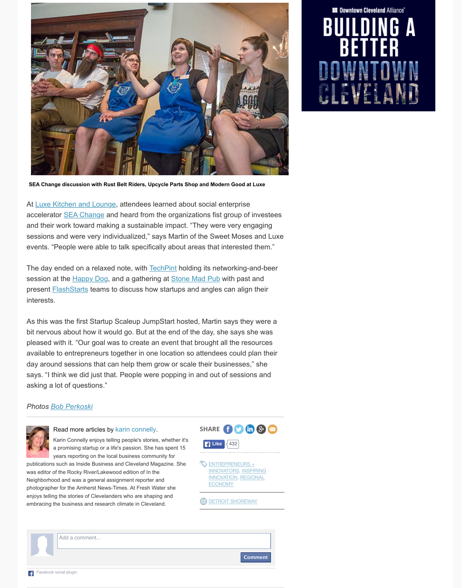sessions and were very individualized," says Martin of the Sweet Moses and Luxe events. "People were able to talk specifically about areas that interested them.

The day ended on a relaxed note, with **TechPint** holding its networking-and-be session at the **Happy Dog**, and a gathering at **Stone Mad Pub** with past and present **FlashStarts** teams to discuss how startups and angles can align their interests.

As this was the first Startup Scaleup JumpStart hosted, Martin says they were bit nervous about how it would go. But at the end of the day, she says she was pleased with it. "Our goal was to create an event that brought all the resources available to entrepreneurs together in one location so attendees could plan the day around sessions that can help them grow or scale their businesses," she says. "I think we did just that. People were popping in and out of sessions and asking a lot of questions."

## *Photos Bob Perkoski*



## Read more articles by karin connelly.

[Karin Connelly enjoys tellin](http://luxecleveland.com/)g people's stories, whether it's a pr[omising startup or](http://theciviccommons.com/issues/sea-change-home) a life's passion. She has spent 15 years reporting on the local business community for

publications such as Inside Business and Cleveland Magazine. She was editor of the Rocky River/Lakewood edition of In the Neighborhood and was a general assignment reporter and photographer for the Amherst News-Times. At Fresh Water she enjoys telling the stories of Clevelanders who are shaping and embracing the business and research climate in Cle[veland.](https://www.facebook.com/techpintnews)



Add a comment...

**Comment**